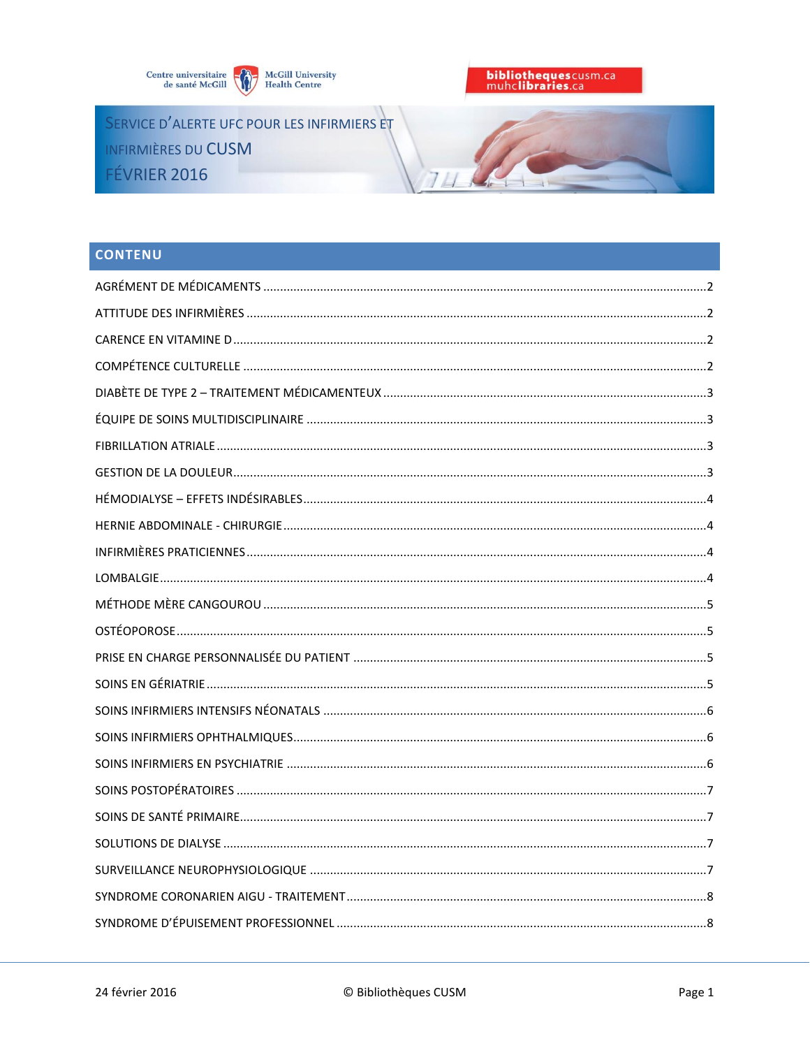

SERVICE D'ALERTE UFC POUR LES INFIRMIERS ET INFIRMIÈRES DU CUSM FÉVRIER 2016



# **CONTENU**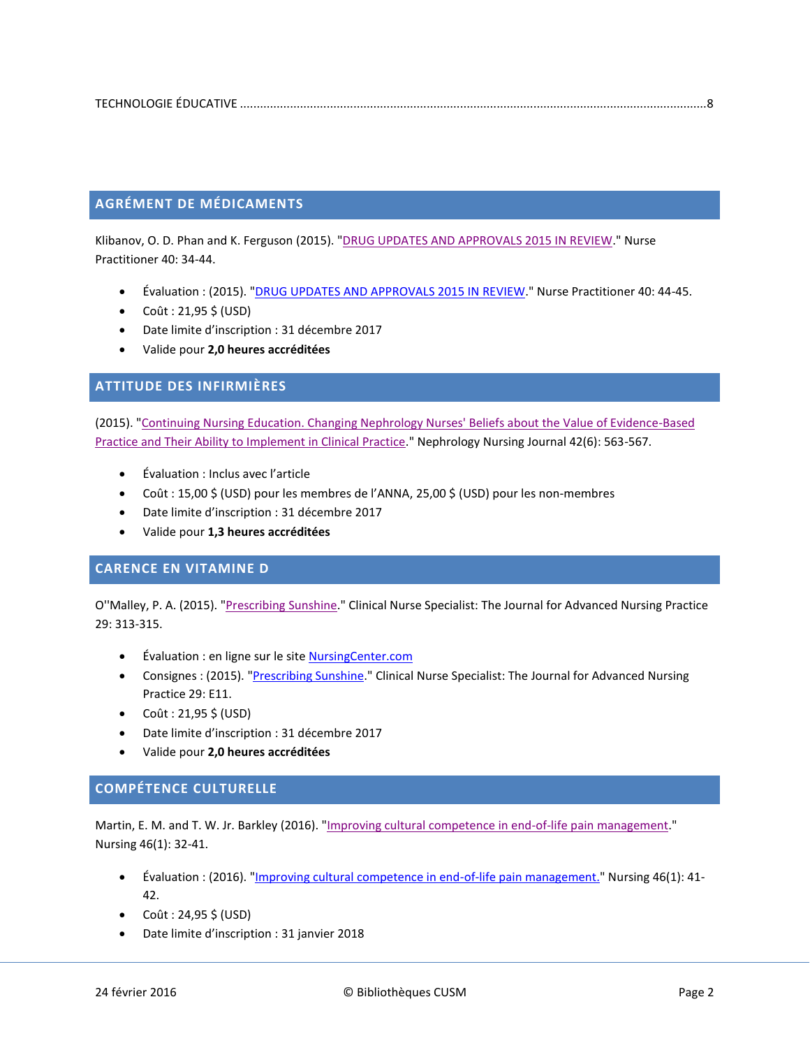# <span id="page-1-0"></span>**AGRÉMENT DE MÉDICAMENTS**

Klibanov, O. D. Phan and K. Ferguson (2015). ["DRUG UPDATES AND APPROVALS 2015 IN REVIEW.](http://ovidsp.ovid.com/ovidweb.cgi?T=JS&CSC=Y&NEWS=N&PAGE=fulltext&AN=00006205-201512000-00005&LSLINK=80&D=ovft)" Nurse Practitioner 40: 34-44.

- Évaluation : (2015). ["DRUG UPDATES AND APPROVALS 2015 IN REVIEW.](http://ovidsp.ovid.com/ovidweb.cgi?T=JS&CSC=Y&NEWS=N&PAGE=fulltext&AN=00006205-201512000-00006&LSLINK=80&D=ovft)" Nurse Practitioner 40: 44-45.
- $\bullet$  Coût : 21,95 \$ (USD)
- Date limite d'inscription : 31 décembre 2017
- Valide pour **2,0 heures accréditées**

### <span id="page-1-1"></span>**ATTITUDE DES INFIRMIÈRES**

(2015). ["Continuing Nursing Education. Changing Nephrology Nurses' Beliefs about the Value of Evidence-Based](http://search.ebscohost.com/login.aspx?direct=true&db=ccm&AN=112410602&site=ehost-live)  [Practice and Their Ability to Implement in Clinical Practice.](http://search.ebscohost.com/login.aspx?direct=true&db=ccm&AN=112410602&site=ehost-live)" Nephrology Nursing Journal 42(6): 563-567.

- Évaluation : Inclus avec l'article
- Coût : 15,00 \$ (USD) pour les membres de l'ANNA, 25,00 \$ (USD) pour les non-membres
- Date limite d'inscription : 31 décembre 2017
- Valide pour **1,3 heures accréditées**

#### <span id="page-1-2"></span>**CARENCE EN VITAMINE D**

O''Malley, P. A. (2015). ["Prescribing Sunshine.](http://ovidsp.ovid.com/ovidweb.cgi?T=JS&CSC=Y&NEWS=N&PAGE=fulltext&AN=00002800-201511000-00007&LSLINK=80&D=ovft)" Clinical Nurse Specialist: The Journal for Advanced Nursing Practice 29: 313-315.

- Évaluation : en ligne sur le sit[e NursingCenter.com](http://nursing.ceconnection.com/public/modules/6768)
- Consignes: (2015). ["Prescribing Sunshine."](http://ovidsp.ovid.com/ovidweb.cgi?T=JS&CSC=Y&NEWS=N&PAGE=fulltext&AN=00002800-201511000-00015&LSLINK=80&D=ovft) Clinical Nurse Specialist: The Journal for Advanced Nursing Practice 29: E11.
- $\bullet$  Coût : 21,95 \$ (USD)
- Date limite d'inscription : 31 décembre 2017
- Valide pour **2,0 heures accréditées**

### <span id="page-1-3"></span>**COMPÉTENCE CULTURELLE**

Martin, E. M. and T. W. Jr. Barkley (2016). ["Improving cultural competence in end-of-life pain management.](http://ovidsp.ovid.com/ovidweb.cgi?T=JS&CSC=Y&NEWS=N&PAGE=fulltext&AN=00152193-201601000-00009&LSLINK=80&D=ovft)" Nursing 46(1): 32-41.

- Évaluation : (2016). ["Improving cultural competence in end-of-life pain management."](http://ovidsp.ovid.com/ovidweb.cgi?T=JS&CSC=Y&NEWS=N&PAGE=fulltext&AN=00152193-201601000-00010&LSLINK=80&D=ovft) Nursing 46(1): 41-42.
- $\bullet$  Coût : 24,95 \$ (USD)
- Date limite d'inscription : 31 janvier 2018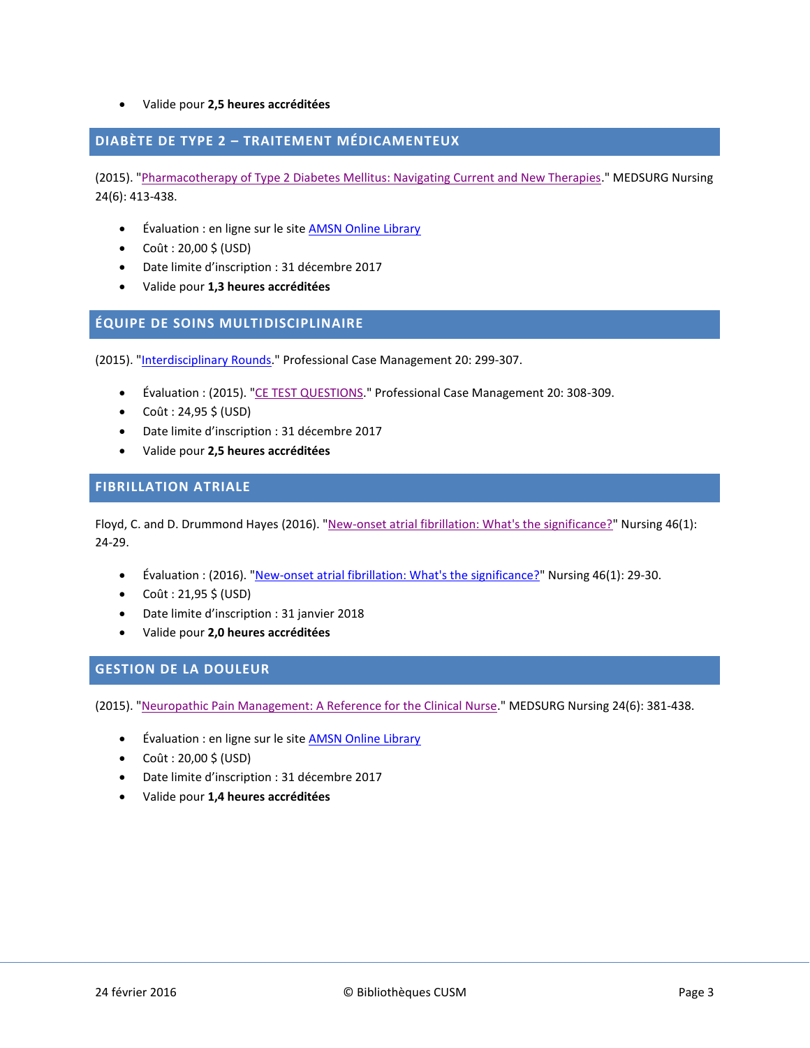#### Valide pour **2,5 heures accréditées**

### <span id="page-2-0"></span>**DIABÈTE DE TYPE 2 – TRAITEMENT MÉDICAMENTEUX**

(2015). ["Pharmacotherapy of Type 2 Diabetes Mellitus: Navigating Current and New Therapies.](http://search.ebscohost.com/login.aspx?direct=true&db=ccm&AN=111669182&site=ehost-live)" MEDSURG Nursing 24(6): 413-438.

- Évaluation : en ligne sur le site **AMSN Online Library**
- $\bullet$  Coût : 20,00 \$ (USD)
- Date limite d'inscription : 31 décembre 2017
- Valide pour **1,3 heures accréditées**

#### <span id="page-2-1"></span>**ÉQUIPE DE SOINS MULTIDISCIPLINAIRE**

(2015). ["Interdisciplinary Rounds.](http://ovidsp.ovid.com/ovidweb.cgi?T=JS&CSC=Y&NEWS=N&PAGE=fulltext&AN=01269241-201511000-00004&LSLINK=80&D=ovft)" Professional Case Management 20: 299-307.

- Évaluation : (2015). ["CE TEST QUESTIONS.](http://ovidsp.ovid.com/ovidweb.cgi?T=JS&CSC=Y&NEWS=N&PAGE=fulltext&AN=01269241-201511000-00005&LSLINK=80&D=ovft)" Professional Case Management 20: 308-309.
- $\bullet$  Coût : 24,95 \$ (USD)
- Date limite d'inscription : 31 décembre 2017
- Valide pour **2,5 heures accréditées**

#### <span id="page-2-2"></span>**FIBRILLATION ATRIALE**

Floyd, C. and D. Drummond Hayes (2016). ["New-onset atrial fibrillation: What's the significance?"](http://ovidsp.ovid.com/ovidweb.cgi?T=JS&CSC=Y&NEWS=N&PAGE=fulltext&AN=00152193-201601000-00007&LSLINK=80&D=ovft) Nursing 46(1): 24-29.

- Évaluation : (2016). ["New-onset atrial fibrillation: What's the significance?"](http://ovidsp.ovid.com/ovidweb.cgi?T=JS&CSC=Y&NEWS=N&PAGE=fulltext&AN=00152193-201601000-00008&LSLINK=80&D=ovft) Nursing 46(1): 29-30.
- $\bullet$  Coût : 21,95 \$ (USD)
- Date limite d'inscription : 31 janvier 2018
- Valide pour **2,0 heures accréditées**

# <span id="page-2-3"></span>**GESTION DE LA DOULEUR**

(2015). ["Neuropathic Pain Management: A Reference for the Clinical Nurse.](http://search.ebscohost.com/login.aspx?direct=true&db=ccm&AN=111669177&site=ehost-live)" MEDSURG Nursing 24(6): 381-438.

- Évaluation : en ligne sur le site **AMSN Online Library**
- $\bullet$  Coût : 20,00 \$ (USD)
- Date limite d'inscription : 31 décembre 2017
- <span id="page-2-4"></span>Valide pour **1,4 heures accréditées**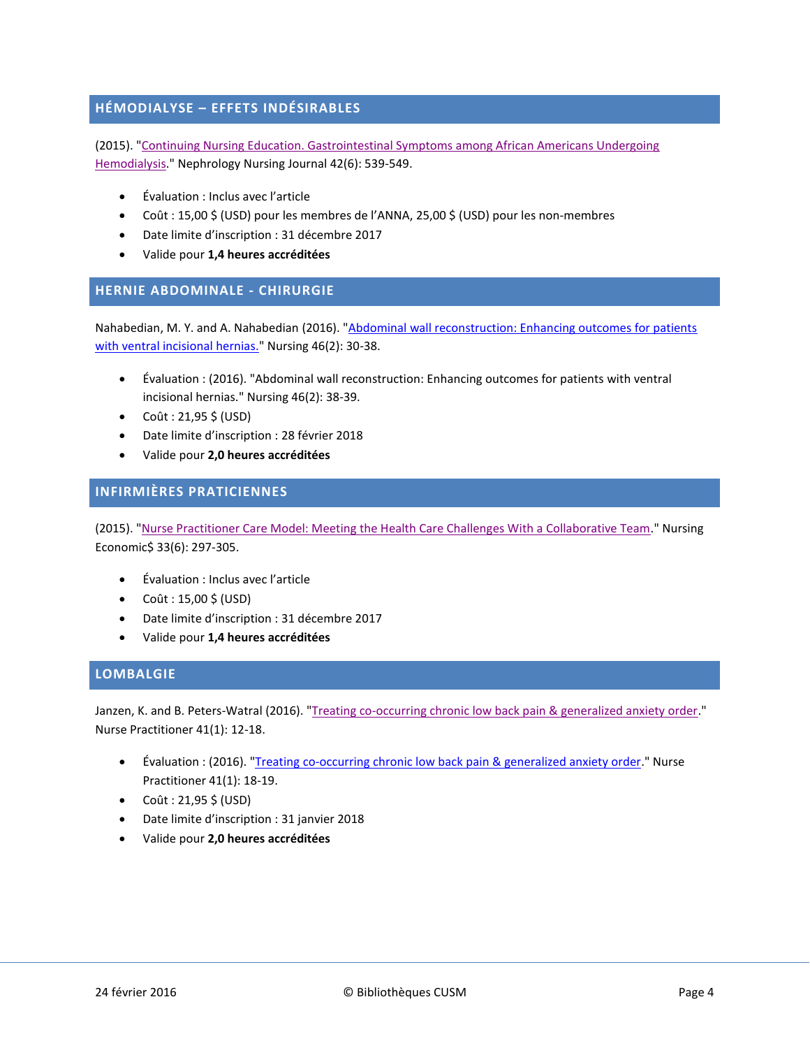# **HÉMODIALYSE – EFFETS INDÉSIRABLES**

(2015). ["Continuing Nursing Education. Gastrointestinal Symptoms among African Americans Undergoing](http://search.ebscohost.com/login.aspx?direct=true&db=ccm&AN=112410600&site=ehost-live)  [Hemodialysis.](http://search.ebscohost.com/login.aspx?direct=true&db=ccm&AN=112410600&site=ehost-live)" Nephrology Nursing Journal 42(6): 539-549.

- Évaluation : Inclus avec l'article
- Coût : 15,00 \$ (USD) pour les membres de l'ANNA, 25,00 \$ (USD) pour les non-membres
- Date limite d'inscription : 31 décembre 2017
- Valide pour **1,4 heures accréditées**

#### <span id="page-3-0"></span>**HERNIE ABDOMINALE - CHIRURGIE**

Nahabedian, M. Y. and A. Nahabedian (2016). ["Abdominal wall reconstruction: Enhancing outcomes for patients](http://ovidsp.ovid.com/ovidweb.cgi?T=JS&CSC=Y&NEWS=N&PAGE=fulltext&AN=00152193-201602000-00011&LSLINK=80&D=ovft)  [with ventral incisional hernias."](http://ovidsp.ovid.com/ovidweb.cgi?T=JS&CSC=Y&NEWS=N&PAGE=fulltext&AN=00152193-201602000-00011&LSLINK=80&D=ovft) Nursing 46(2): 30-38.

- Évaluation : (2016). "Abdominal wall reconstruction: Enhancing outcomes for patients with ventral incisional hernias." Nursing 46(2): 38-39.
- $\bullet$  Coût : 21,95 \$ (USD)
- Date limite d'inscription : 28 février 2018
- Valide pour **2,0 heures accréditées**

### <span id="page-3-1"></span>**INFIRMIÈRES PRATICIENNES**

(2015). ["Nurse Practitioner Care Model: Meeting the Health Care Challenges With a Collaborative Team.](http://search.ebscohost.com/login.aspx?direct=true&db=ccm&AN=111669233&site=ehost-live)" Nursing Economic\$ 33(6): 297-305.

- Évaluation : Inclus avec l'article
- $\bullet$  Coût : 15,00 \$ (USD)
- Date limite d'inscription : 31 décembre 2017
- Valide pour **1,4 heures accréditées**

#### <span id="page-3-2"></span>**LOMBALGIE**

Janzen, K. and B. Peters-Watral (2016). ["Treating co-occurring chronic low back pain & generalized anxiety order.](http://ovidsp.ovid.com/ovidweb.cgi?T=JS&CSC=Y&NEWS=N&PAGE=fulltext&AN=00006205-201601000-00003&LSLINK=80&D=ovft)" Nurse Practitioner 41(1): 12-18.

- Évaluation : (2016). ["Treating co-occurring chronic low back pain & generalized anxiety order.](http://ovidsp.ovid.com/ovidweb.cgi?T=JS&CSC=Y&NEWS=N&PAGE=fulltext&AN=00006205-201601000-00004&LSLINK=80&D=ovft)" Nurse Practitioner 41(1): 18-19.
- $\bullet$  Coût : 21,95 \$ (USD)
- Date limite d'inscription : 31 janvier 2018
- <span id="page-3-3"></span>Valide pour **2,0 heures accréditées**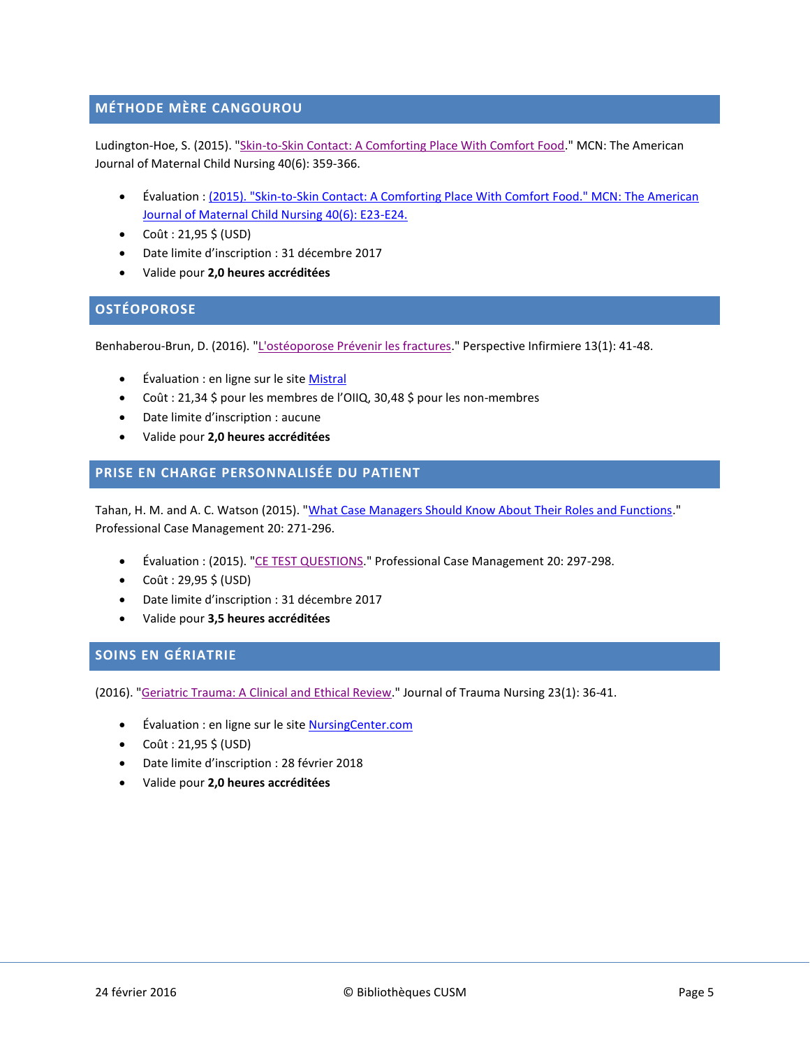# **MÉTHODE MÈRE CANGOUROU**

Ludington-Hoe, S. (2015). ["Skin-to-Skin Contact: A Comforting Place With Comfort Food.](http://ovidsp.ovid.com/ovidweb.cgi?T=JS&CSC=Y&NEWS=N&PAGE=fulltext&AN=00005721-201511000-00003&LSLINK=80&D=ovft)" MCN: The American Journal of Maternal Child Nursing 40(6): 359-366.

- Évaluation : [\(2015\). "Skin-to-Skin Contact: A Comforting Place With Comfort Food." MCN: The American](http://ovidsp.ovid.com/ovidweb.cgi?T=JS&CSC=Y&NEWS=N&PAGE=fulltext&AN=00005721-201511000-00015&LSLINK=80&D=ovft)  [Journal of Maternal Child Nursing 40\(6\): E23-E24.](http://ovidsp.ovid.com/ovidweb.cgi?T=JS&CSC=Y&NEWS=N&PAGE=fulltext&AN=00005721-201511000-00015&LSLINK=80&D=ovft)
- $\bullet$  Coût : 21,95 \$ (USD)
- Date limite d'inscription : 31 décembre 2017
- Valide pour **2,0 heures accréditées**

# <span id="page-4-0"></span>**OSTÉOPOROSE**

Benhaberou-Brun, D. (2016). ["L'ostéoporose Prévenir les fractures."](http://www.oiiq.org/sites/default/files/uploads/periodiques/Perspective/vol13no01/13-pratique-clinique.pdf) Perspective Infirmiere 13(1): 41-48.

- Évaluation : en ligne sur le sit[e Mistral](https://mistral.oiiq.org/repertoire-formation/osteoporose-prevenir-les-fractures-l)
- Coût : 21,34 \$ pour les membres de l'OIIQ, 30,48 \$ pour les non-membres
- Date limite d'inscription : aucune
- Valide pour **2,0 heures accréditées**

### <span id="page-4-1"></span>**PRISE EN CHARGE PERSONNALISÉE DU PATIENT**

Tahan, H. M. and A. C. Watson (2015). ["What Case Managers Should Know About Their Roles and Functions.](http://ovidsp.ovid.com/ovidweb.cgi?T=JS&CSC=Y&NEWS=N&PAGE=fulltext&AN=01269241-201511000-00002&LSLINK=80&D=ovft)" Professional Case Management 20: 271-296.

- Évaluation : (2015). ["CE TEST QUESTIONS.](http://ovidsp.ovid.com/ovidweb.cgi?T=JS&CSC=Y&NEWS=N&PAGE=fulltext&AN=01269241-201511000-00003&LSLINK=80&D=ovft)" Professional Case Management 20: 297-298.
- $\bullet$  Coût : 29,95 \$ (USD)
- Date limite d'inscription : 31 décembre 2017
- Valide pour **3,5 heures accréditées**

# <span id="page-4-2"></span>**SOINS EN GÉRIATRIE**

(2016). ["Geriatric Trauma: A Clinical and Ethical Review.](http://search.ebscohost.com/login.aspx?direct=true&db=ccm&AN=112362381&site=ehost-live)" Journal of Trauma Nursing 23(1): 36-41.

- Évaluation : en ligne sur le site **NursingCenter.com**
- $\bullet$  Coût : 21,95 \$ (USD)
- Date limite d'inscription : 28 février 2018
- <span id="page-4-3"></span>Valide pour **2,0 heures accréditées**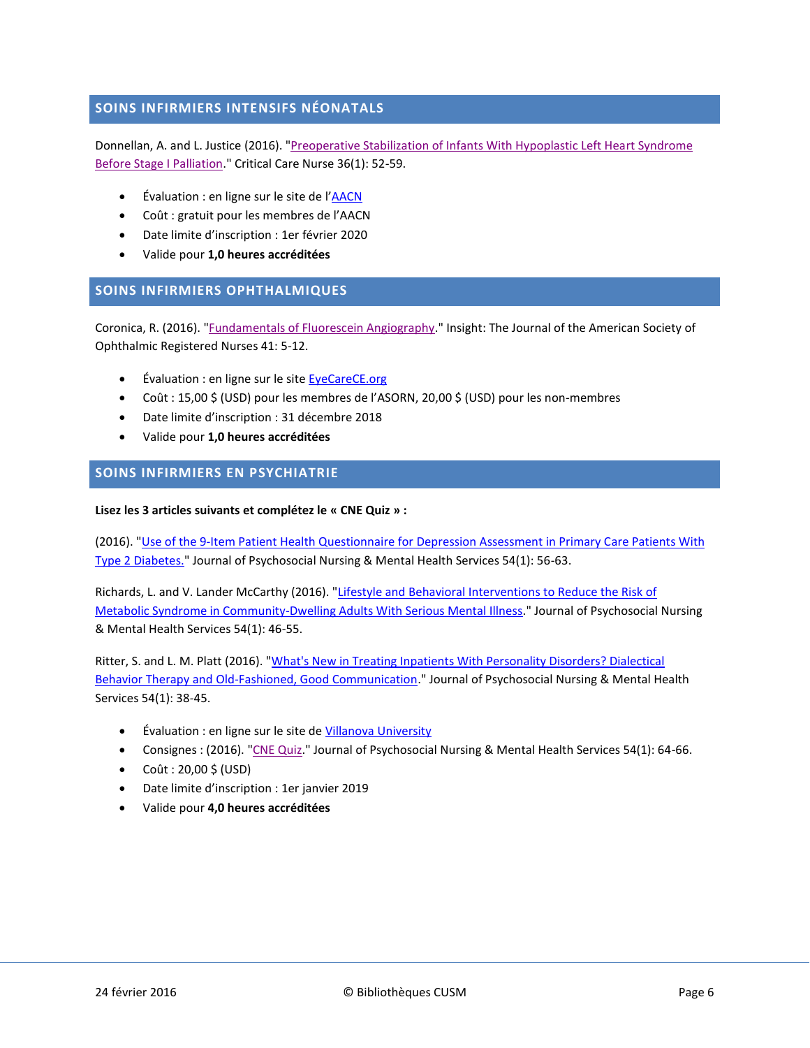# **SOINS INFIRMIERS INTENSIFS NÉONATALS**

Donnellan, A. and L. Justice (2016). "Preoperative Stabilization of Infants With Hypoplastic Left Heart Syndrome [Before Stage I Palliation.](http://search.ebscohost.com/login.aspx?direct=true&db=ccm&AN=112265703&site=ehost-live)" Critical Care Nurse 36(1): 52-59.

- Évaluation : en ligne sur le site de l'[AACN](http://www.aacn.org/DM/CETests/Overview.aspx?TestID=1254&mid=2864&ItemID=1246&menu=CETests)
- Coût : gratuit pour les membres de l'AACN
- Date limite d'inscription : 1er février 2020
- Valide pour **1,0 heures accréditées**

### <span id="page-5-0"></span>**SOINS INFIRMIERS OPHTHALMIQUES**

Coronica, R. (2016). ["Fundamentals of Fluorescein Angiography.](http://search.ebscohost.com/login.aspx?direct=true&db=ccm&AN=112221563&site=ehost-live)" Insight: The Journal of the American Society of Ophthalmic Registered Nurses 41: 5-12.

- Évaluation : en ligne sur le sit[e EyeCareCE.org](http://www.jcahpo.org/marketplace/detail.aspx?id=ASTX1320)
- Coût : 15,00 \$ (USD) pour les membres de l'ASORN, 20,00 \$ (USD) pour les non-membres
- Date limite d'inscription : 31 décembre 2018
- Valide pour **1,0 heures accréditées**

### <span id="page-5-1"></span>**SOINS INFIRMIERS EN PSYCHIATRIE**

#### **Lisez les 3 articles suivants et complétez le « CNE Quiz » :**

(2016). ["Use of the 9-Item Patient Health Questionnaire for Depression Assessment in Primary Care Patients With](http://www.healio.com/psychiatry/journals/jpn/2016-1-54-1/%7B7bfa72f6-d77b-4134-84d1-fad1b653b4b2%7D/use-of-the-9-item-patient-health-questionnaire-for-depression-assessment-in-primary-care-patients-with-type-2-diabetes)  [Type 2 Diabetes."](http://www.healio.com/psychiatry/journals/jpn/2016-1-54-1/%7B7bfa72f6-d77b-4134-84d1-fad1b653b4b2%7D/use-of-the-9-item-patient-health-questionnaire-for-depression-assessment-in-primary-care-patients-with-type-2-diabetes) Journal of Psychosocial Nursing & Mental Health Services 54(1): 56-63.

Richards, L. and V. Lander McCarthy (2016). "Lifestyle and Behavioral Interventions to Reduce the Risk of [Metabolic Syndrome in Community-Dwelling Adults With Serious Mental Illness."](http://www.healio.com/psychiatry/journals/jpn/2016-1-54-1/%7Bb75a5f8a-b75c-4a9e-9f7d-243763121564%7D/lifestyle-and-behavioral-interventions-to-reduce-the-risk-of-metabolic-syndrome-in-community-dwelling-adults-with-serious-mental-illness-implications-for-nursing-practice) Journal of Psychosocial Nursing & Mental Health Services 54(1): 46-55.

Ritter, S. and L. M. Platt (2016). ["What's New in Treating Inpatients With Personality Disorders? Dialectical](http://www.healio.com/psychiatry/journals/jpn/2016-1-54-1/%7B482941bd-1bba-4dfe-a5b3-b4bfe4a227b5%7D/whats-new-in-treating-inpatients-with-personality-disorders-dialectical-behavior-therapy-and-old-fashioned-good-communication)  Behavior Therapy and [Old-Fashioned, Good Communication.](http://www.healio.com/psychiatry/journals/jpn/2016-1-54-1/%7B482941bd-1bba-4dfe-a5b3-b4bfe4a227b5%7D/whats-new-in-treating-inpatients-with-personality-disorders-dialectical-behavior-therapy-and-old-fashioned-good-communication)" Journal of Psychosocial Nursing & Mental Health Services 54(1): 38-45.

- Évaluation : en ligne sur le site de [Villanova University](https://villanova.gosignmeup.com/public/course/browse?courseid=2731)
- Consignes : (2016). ["CNE Quiz."](http://www.healio.com/psychiatry/journals/jpn/2016-1-54-1/%7B7eccd9cd-faa8-47c5-86b2-f1c97abe2f07%7D/cne-quiz) Journal of Psychosocial Nursing & Mental Health Services 54(1): 64-66.
- Coût :  $20,00 \, \frac{1}{5}$  (USD)
- Date limite d'inscription : 1er janvier 2019
- <span id="page-5-2"></span>Valide pour **4,0 heures accréditées**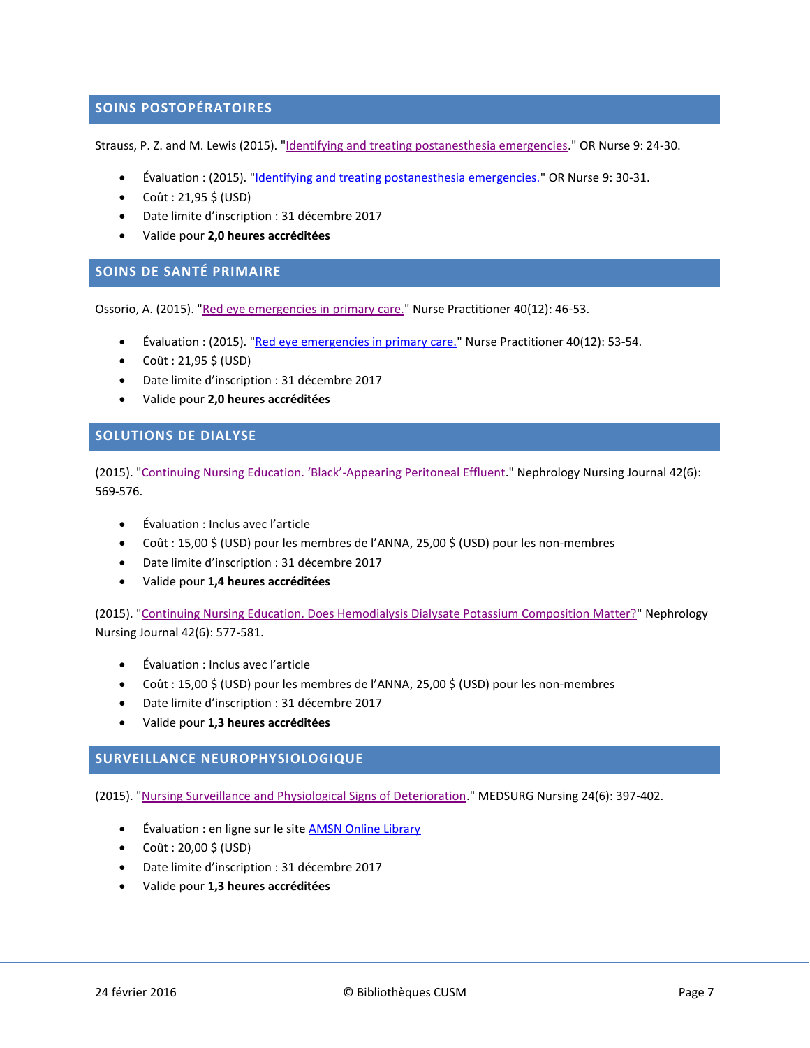### **SOINS POSTOPÉRATOIRES**

Strauss, P. Z. and M. Lewis (2015). ["Identifying and treating postanesthesia emergencies."](http://ovidsp.ovid.com/ovidweb.cgi?T=JS&CSC=Y&NEWS=N&PAGE=fulltext&AN=01271211-201511000-00007&LSLINK=80&D=ovft) OR Nurse 9: 24-30.

- Évaluation : (2015). ["Identifying and treating postanesthesia emergencies."](http://ovidsp.ovid.com/ovidweb.cgi?T=JS&CSC=Y&NEWS=N&PAGE=fulltext&AN=01271211-201511000-00008&LSLINK=80&D=ovft) OR Nurse 9: 30-31.
- $\bullet$  Coût : 21,95 \$ (USD)
- Date limite d'inscription : 31 décembre 2017
- Valide pour **2,0 heures accréditées**

#### <span id="page-6-0"></span>**SOINS DE SANTÉ PRIMAIRE**

Ossorio, A. (2015). ["Red eye emergencies in](http://ovidsp.ovid.com/ovidweb.cgi?T=JS&CSC=Y&NEWS=N&PAGE=fulltext&AN=00006205-201512000-00007&LSLINK=80&D=ovft) primary care." Nurse Practitioner 40(12): 46-53.

- Évaluation : (2015). ["Red eye emergencies in primary care."](http://ovidsp.ovid.com/ovidweb.cgi?T=JS&CSC=Y&NEWS=N&PAGE=fulltext&AN=00006205-201512000-00008&LSLINK=80&D=ovft) Nurse Practitioner 40(12): 53-54.
- $\bullet$  Coût : 21,95 \$ (USD)
- Date limite d'inscription : 31 décembre 2017
- Valide pour **2,0 heures accréditées**

#### <span id="page-6-1"></span>**SOLUTIONS DE DIALYSE**

(2015). "[Continuing Nursing Education. 'Black'](http://search.ebscohost.com/login.aspx?direct=true&db=ccm&AN=112410603&site=ehost-live)-Appearing Peritoneal Effluent." Nephrology Nursing Journal 42(6): 569-576.

- Évaluation : Inclus avec l'article
- Coût : 15,00 \$ (USD) pour les membres de l'ANNA, 25,00 \$ (USD) pour les non-membres
- Date limite d'inscription : 31 décembre 2017
- Valide pour **1,4 heures accréditées**

(2015). ["Continuing Nursing Education. Does Hemodialysis Dialysate Potassium Composition Matter?"](http://search.ebscohost.com/login.aspx?direct=true&db=ccm&AN=112410604&site=ehost-live) Nephrology Nursing Journal 42(6): 577-581.

- Évaluation : Inclus avec l'article
- Coût : 15,00 \$ (USD) pour les membres de l'ANNA, 25,00 \$ (USD) pour les non-membres
- Date limite d'inscription : 31 décembre 2017
- Valide pour **1,3 heures accréditées**

# <span id="page-6-2"></span>**SURVEILLANCE NEUROPHYSIOLOGIQUE**

(2015). ["Nursing Surveillance and Physiological Signs of Deterioration.](http://search.ebscohost.com/login.aspx?direct=true&db=ccm&AN=111669179&site=ehost-live)" MEDSURG Nursing 24(6): 397-402.

- Évaluation : en ligne sur le site **AMSN Online Library**
- Coût :  $20,00 \, \frac{1}{5}$  (USD)
- Date limite d'inscription : 31 décembre 2017
- <span id="page-6-3"></span>Valide pour **1,3 heures accréditées**